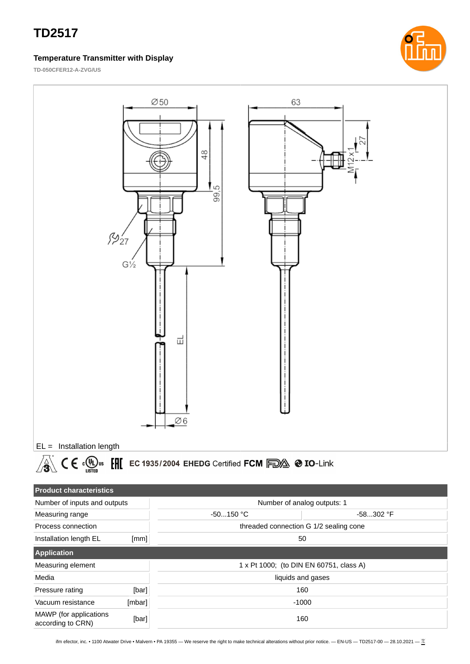#### **Temperature Transmitter with Display**



**TD-050CFER12-A-ZVG/US**

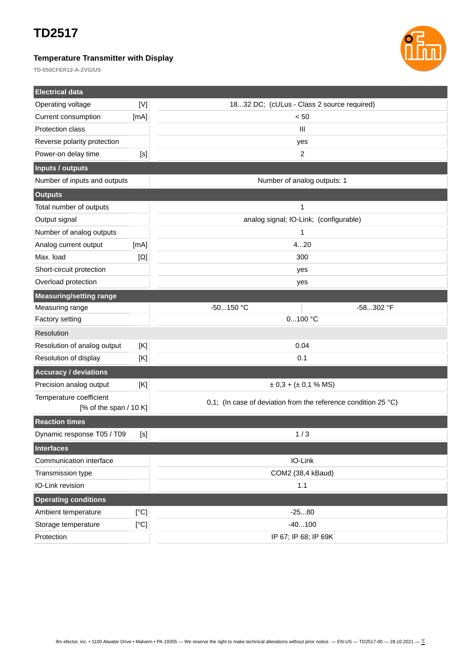### **Temperature Transmitter with Display**



**TD-050CFER12-A-ZVG/US**

| <b>Electrical data</b>         |            |                                                                          |  |  |
|--------------------------------|------------|--------------------------------------------------------------------------|--|--|
| Operating voltage              | [<]        | 1832 DC; (cULus - Class 2 source required)                               |  |  |
| Current consumption            | [mA]       | < 50                                                                     |  |  |
| Protection class               |            | Ш                                                                        |  |  |
| Reverse polarity protection    |            | yes                                                                      |  |  |
| Power-on delay time            | [s]        | 2                                                                        |  |  |
| Inputs / outputs               |            |                                                                          |  |  |
| Number of inputs and outputs   |            | Number of analog outputs: 1                                              |  |  |
| <b>Outputs</b>                 |            |                                                                          |  |  |
| Total number of outputs        |            | 1                                                                        |  |  |
| Output signal                  |            | analog signal; IO-Link; (configurable)                                   |  |  |
| Number of analog outputs       |            | 1                                                                        |  |  |
| Analog current output          | [MA]       | 420                                                                      |  |  |
| Max. load                      | $[\Omega]$ | 300                                                                      |  |  |
| Short-circuit protection       |            | yes                                                                      |  |  |
| Overload protection            |            | yes                                                                      |  |  |
| <b>Measuring/setting range</b> |            |                                                                          |  |  |
| Measuring range                |            | $-50150$ °C<br>-58302 °F                                                 |  |  |
| Factory setting                |            | 0100 °C                                                                  |  |  |
| Resolution                     |            |                                                                          |  |  |
| Resolution of analog output    | [K]        | 0.04                                                                     |  |  |
| Resolution of display          | [K]        | 0.1                                                                      |  |  |
| <b>Accuracy / deviations</b>   |            |                                                                          |  |  |
| Precision analog output        | [K]        | $\pm$ 0,3 + ( $\pm$ 0,1 % MS)                                            |  |  |
| Temperature coefficient        |            | 0,1; (In case of deviation from the reference condition 25 $^{\circ}$ C) |  |  |
| [% of the span $/$ 10 K]       |            |                                                                          |  |  |
| <b>Reaction times</b>          |            |                                                                          |  |  |
| Dynamic response T05 / T09     | $[<]$      | 1/3                                                                      |  |  |
| <b>Interfaces</b>              |            |                                                                          |  |  |
| Communication interface        |            | IO-Link                                                                  |  |  |
| Transmission type              |            | COM2 (38,4 kBaud)                                                        |  |  |
| IO-Link revision               |            | $1.1\,$                                                                  |  |  |
| <b>Operating conditions</b>    |            |                                                                          |  |  |
| Ambient temperature            | [°C]       | $-2580$                                                                  |  |  |
| Storage temperature            | [°C]       | $-40100$                                                                 |  |  |
| Protection                     |            | IP 67; IP 68; IP 69K                                                     |  |  |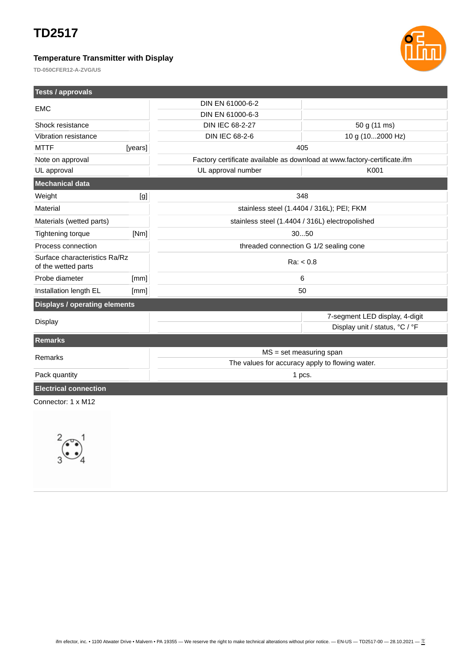**Tests / approvals**

### **Temperature Transmitter with Display**



**TD-050CFER12-A-ZVG/US**

| <b>Tests / approvals</b>                             |         |                                                                          |                                |  |
|------------------------------------------------------|---------|--------------------------------------------------------------------------|--------------------------------|--|
| <b>EMC</b>                                           |         | DIN EN 61000-6-2                                                         |                                |  |
|                                                      |         | DIN EN 61000-6-3                                                         |                                |  |
| Shock resistance                                     |         | DIN IEC 68-2-27                                                          | 50 g (11 ms)                   |  |
| Vibration resistance                                 |         | <b>DIN IEC 68-2-6</b>                                                    | 10 g (102000 Hz)               |  |
| <b>MTTF</b>                                          | [years] | 405                                                                      |                                |  |
| Note on approval                                     |         | Factory certificate available as download at www.factory-certificate.ifm |                                |  |
| UL approval                                          |         | UL approval number                                                       | K001                           |  |
| Mechanical data                                      |         |                                                                          |                                |  |
| Weight                                               | [g]     | 348                                                                      |                                |  |
| Material                                             |         | stainless steel (1.4404 / 316L); PEI; FKM                                |                                |  |
| Materials (wetted parts)                             |         | stainless steel (1.4404 / 316L) electropolished                          |                                |  |
| <b>Tightening torque</b>                             | [Nm]    | 3050                                                                     |                                |  |
| Process connection                                   |         | threaded connection G 1/2 sealing cone                                   |                                |  |
| Surface characteristics Ra/Rz<br>of the wetted parts |         | Ra: < 0.8                                                                |                                |  |
| Probe diameter                                       | [mm]    |                                                                          | 6                              |  |
| Installation length EL                               | [mm]    | 50                                                                       |                                |  |
| <b>Displays / operating elements</b>                 |         |                                                                          |                                |  |
| <b>Display</b>                                       |         |                                                                          | 7-segment LED display, 4-digit |  |
|                                                      |         |                                                                          | Display unit / status, °C / °F |  |
| <b>Remarks</b>                                       |         |                                                                          |                                |  |
| Remarks                                              |         | $MS = set measuring span$                                                |                                |  |
|                                                      |         | The values for accuracy apply to flowing water.                          |                                |  |
| Pack quantity                                        |         | 1 pcs.                                                                   |                                |  |
| <b>Electrical connection</b>                         |         |                                                                          |                                |  |
| Connector: 1 x M12                                   |         |                                                                          |                                |  |